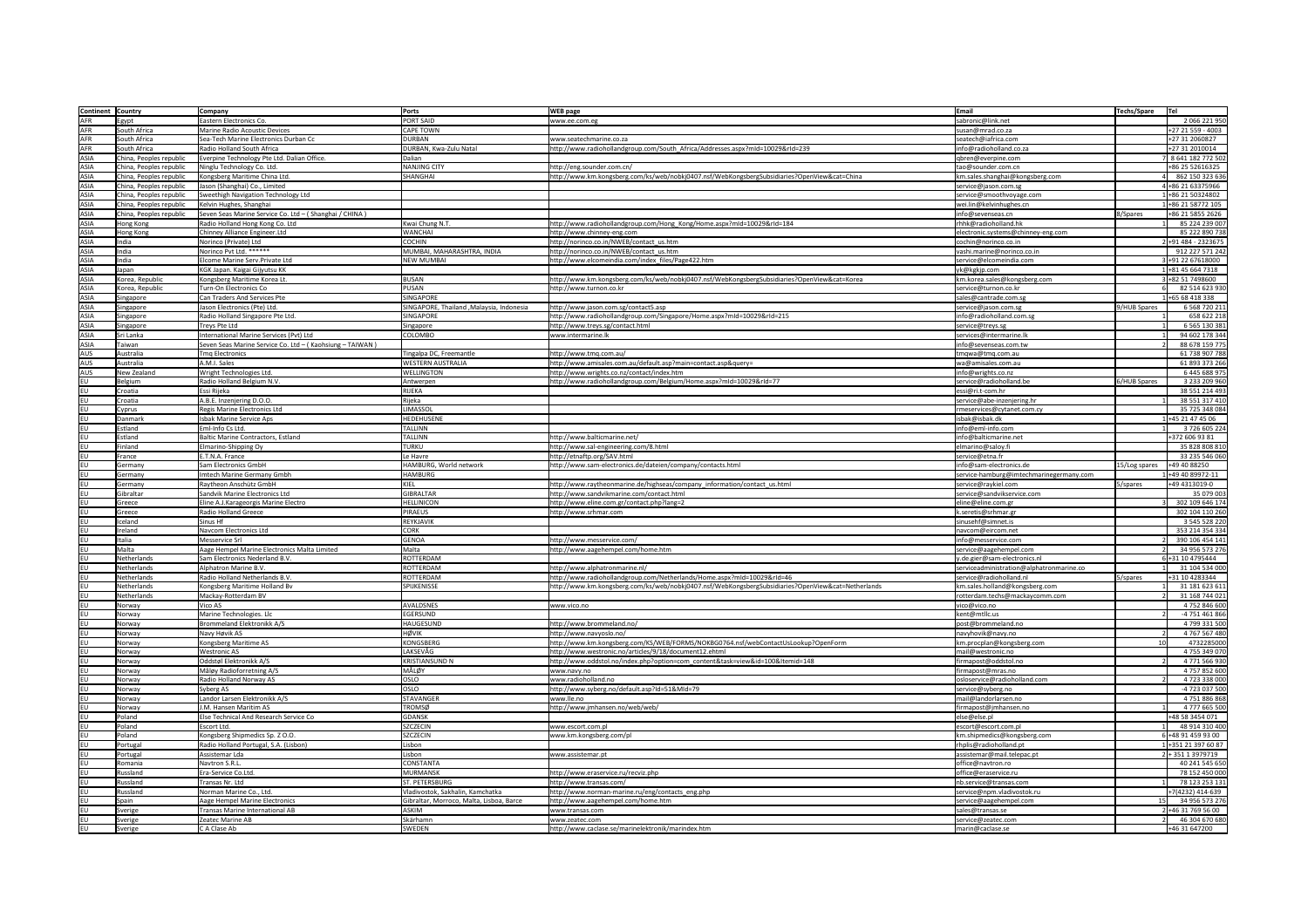| Continent Country |                         | <b>Company</b>                                           | Ports                                     | <b>WEB</b> page                                                                                    | Email<br><b>Techs/Spare</b>              | <b>Tel</b>                                                                                                                                                                                                      |
|-------------------|-------------------------|----------------------------------------------------------|-------------------------------------------|----------------------------------------------------------------------------------------------------|------------------------------------------|-----------------------------------------------------------------------------------------------------------------------------------------------------------------------------------------------------------------|
|                   |                         |                                                          |                                           |                                                                                                    |                                          |                                                                                                                                                                                                                 |
| <b>AFR</b>        | gypt                    | Eastern Electronics Co.                                  | PORT SAID                                 | www.ee.com.eg                                                                                      | sabronic@link.net                        | 2 066 221 950                                                                                                                                                                                                   |
| <b>AFR</b>        | South Africa            | Marine Radio Acoustic Devices                            | <b>CAPE TOWN</b>                          |                                                                                                    | susan@mrad.co.za                         | +27 21 559 - 4003                                                                                                                                                                                               |
| <b>AFR</b>        | South Africa            | Sea-Tech Marine Electronics Durban Cc                    | <b>DURBAN</b>                             | www.seatechmarine.co.za                                                                            | seatech@iafrica.com                      | +27 31 2060827                                                                                                                                                                                                  |
| <b>AFR</b>        | South Africa            | Radio Holland South Africa                               | DURBAN, Kwa-Zulu Natal                    | http://www.radiohollandgroup.com/South_Africa/Addresses.aspx?mId=10029&rId=239                     | info@radioholland.co.za                  | +27 31 2010014                                                                                                                                                                                                  |
| <b>ASIA</b>       | China, Peoples republic | Everpine Technology Pte Ltd. Dalian Office.              | Dalian                                    |                                                                                                    | qbren@everpine.com                       | 8 641 182 772 502                                                                                                                                                                                               |
| <b>ASIA</b>       | China, Peoples republic |                                                          | <b>NANJING CITY</b>                       | http://eng.sounder.com.cn/                                                                         | tao@sounder.com.cn                       | +86 25 52616325                                                                                                                                                                                                 |
|                   |                         | Ninglu Technology Co. Ltd.                               |                                           |                                                                                                    |                                          |                                                                                                                                                                                                                 |
| <b>ASIA</b>       | China, Peoples republic | Kongsberg Maritime China Ltd.                            | SHANGHAI                                  | http://www.km.kongsberg.com/ks/web/nobkj0407.nsf/WebKongsbergSubsidiaries?OpenView&cat=China       | km.sales.shanghai@kongsberg.com          | 862 150 323 636                                                                                                                                                                                                 |
| ASIA              | China, Peoples republic | Jason (Shanghai) Co., Limited                            |                                           |                                                                                                    | service@jason.com.sg                     | 4+86 21 63375966                                                                                                                                                                                                |
| <b>ASIA</b>       | China, Peoples republic | Sweethigh Navigation Technology Ltd                      |                                           |                                                                                                    | service@smoothvoyage.com                 | 1+86 21 50324802                                                                                                                                                                                                |
|                   |                         | Kelvin Hughes, Shanghai                                  |                                           |                                                                                                    | wei.lin@kelvinhughes.cn                  | +86 21 58772 105                                                                                                                                                                                                |
| <b>ASIA</b>       | China, Peoples republic |                                                          |                                           |                                                                                                    |                                          |                                                                                                                                                                                                                 |
| <b>ASIA</b>       | China, Peoples republic | Seven Seas Marine Service Co. Ltd - (Shanghai / CHINA)   |                                           |                                                                                                    | info@sevenseas.cn<br>8/Spares            | +86 21 5855 2626                                                                                                                                                                                                |
| <b>ASIA</b>       | Hong Kong               | Radio Holland Hong Kong Co. Ltd                          | Kwai Chung N.T.                           | http://www.radiohollandgroup.com/Hong_Kong/Home.aspx?mId=10029&rId=184                             | rhhk@radioholland.hk                     | 85 224 239 007                                                                                                                                                                                                  |
| <b>ASIA</b>       | Hong Kong               | Chinney Alliance Engineer.Ltd                            | <b>WANCHAI</b>                            | http://www.chinney-eng.com                                                                         | electronic.systems@chinney-eng.com       | 85 222 890 738                                                                                                                                                                                                  |
| <b>ASIA</b>       | India                   | Norinco (Private) Ltd                                    | <b>COCHIN</b>                             | http://norinco.co.in/NWEB/contact_us.htm                                                           | cochin@norinco.co.in                     | $2+91484 - 2323675$                                                                                                                                                                                             |
|                   |                         |                                                          |                                           |                                                                                                    |                                          |                                                                                                                                                                                                                 |
| <b>ASIA</b>       | ndia                    | Norinco Pvt Ltd. ******                                  | MUMBAI, MAHARASHTRA, INDIA                | http://norinco.co.in/NWEB/contact us.htm                                                           | vashi.marine@norinco.co.in               | 912 227 571 242                                                                                                                                                                                                 |
| <b>ASIA</b>       | ndia                    | Elcome Marine Serv. Private Ltd                          | <b>NEW MUMBAI</b>                         | http://www.elcomeindia.com/index_files/Page422.htm                                                 | service@elcomeindia.com                  | 3+91 22 67618000                                                                                                                                                                                                |
| <b>ASIA</b>       | Japan                   | KGK Japan. Kaigai Gijyutsu KK                            |                                           |                                                                                                    | yk@kgkjp.com                             | 1+81 45 664 7318                                                                                                                                                                                                |
| <b>ASIA</b>       | Korea, Republic         | Kongsberg Maritime Korea Lt.                             | BUSAN                                     | http://www.km.kongsberg.com/ks/web/nobkj0407.nsf/WebKongsbergSubsidiaries?OpenView&cat=Korea       | km.korea.sales@kongsberg.com             | +82 51 7498600                                                                                                                                                                                                  |
|                   |                         |                                                          |                                           |                                                                                                    |                                          |                                                                                                                                                                                                                 |
| ASIA              | Korea, Republic         | Turn-On Electronics Co                                   | <b>PUSAN</b>                              | http://www.turnon.co.kr                                                                            | service@turnon.co.kr                     | 82 514 623 930                                                                                                                                                                                                  |
| <b>ASIA</b>       | Singapore               | Can Traders And Services Pte                             | <b>SINGAPORE</b>                          |                                                                                                    | sales@cantrade.com.sg                    | 1+65 68 418 338                                                                                                                                                                                                 |
| ASIA              | Singapore               | Jason Electronics (Pte) Ltd.                             | SINGAPORE, Thailand , Malaysia, Indonesia | http://www.jason.com.sg/contact5.asp                                                               | 9/HUB Spares<br>service@jason.com.sg     | 6 5 68 7 20 2 11                                                                                                                                                                                                |
| ASIA              | Singapore               | Radio Holland Singapore Pte Ltd.                         | SINGAPORE                                 | http://www.radiohollandgroup.com/Singapore/Home.aspx?mId=10029&rId=215                             | info@radioholland.com.s                  | 658 622 218                                                                                                                                                                                                     |
|                   |                         |                                                          |                                           |                                                                                                    |                                          |                                                                                                                                                                                                                 |
| <b>ASIA</b>       | Singapore               | Treys Pte Ltd                                            | Singapore                                 | http://www.treys.sg/contact.html                                                                   | service@treys.sg                         | 6 5 6 5 1 3 0 3 8 1                                                                                                                                                                                             |
| ASIA              | Sri Lanka               | International Marine Services (Pvt) Ltd                  | <b>COLOMBO</b>                            | www.intermarine.lk                                                                                 | services@intermarine.lk                  | 94 602 178 344                                                                                                                                                                                                  |
| ASIA              | Taiwan                  | Seven Seas Marine Service Co. Ltd - (Kaohsiung - TAIWAN) |                                           |                                                                                                    | info@sevenseas.com.tw                    | 88 678 159 775                                                                                                                                                                                                  |
|                   | Australia               | Tmq Electronics                                          | Tingalpa DC, Freemantle                   | http://www.tmg.com.au/                                                                             |                                          | 61 738 907 788                                                                                                                                                                                                  |
| AUS               |                         |                                                          |                                           |                                                                                                    | tmqwa@tmq.com.au                         |                                                                                                                                                                                                                 |
| AUS               | Australia               | A.M.I. Sales                                             | <b>WESTERN AUSTRALIA</b>                  | http://www.amisales.com.au/default.asp?main=contact.asp&query=                                     | wa@amisales.com.au                       | 61 893 373 266                                                                                                                                                                                                  |
| AUS               | New Zealand             | Wright Technologies Ltd.                                 | <b>WELLINGTON</b>                         | http://www.wrights.co.nz/contact/index.htm                                                         | info@wrights.co.nz                       | 6 445 688 975                                                                                                                                                                                                   |
|                   | Belgium                 | Radio Holland Belgium N.V.                               | Antwerpen                                 | http://www.radiohollandgroup.com/Belgium/Home.aspx?mId=10029&rId=77                                | service@radioholland.be<br>6/HUB Spares  | 3 233 209 960                                                                                                                                                                                                   |
|                   |                         |                                                          |                                           |                                                                                                    |                                          |                                                                                                                                                                                                                 |
| EU                | Croatia                 | Essi Rijeka                                              | RIJEKA                                    |                                                                                                    | essi@ri.t-com.hr                         | 38 551 214 493                                                                                                                                                                                                  |
| <b>EU</b>         | Croatia                 | A.B.E. Inzenjering D.O.O.                                | Rijeka                                    |                                                                                                    | service@abe-inzenjering.hr               | 38 551 317 410                                                                                                                                                                                                  |
| <b>EU</b>         | Cyprus                  | Regis Marine Electronics Ltd                             | LIMASSOL                                  |                                                                                                    | rmeservices@cytanet.com.cy               | 35 725 348 084                                                                                                                                                                                                  |
| <b>EU</b>         | Danmark                 | <b>Isbak Marine Service Aps</b>                          | <b>HEDEHUSENE</b>                         |                                                                                                    | isbak@isbak.dk                           | +45 21 47 45 06                                                                                                                                                                                                 |
|                   |                         |                                                          |                                           |                                                                                                    |                                          |                                                                                                                                                                                                                 |
| <b>EU</b>         | Estland                 | Eml-Info Cs Ltd.                                         | <b>TALLINN</b>                            |                                                                                                    | info@eml-info.com                        | 3726605224                                                                                                                                                                                                      |
| EU                | Estland                 | Baltic Marine Contractors, Estland                       | TALLINN                                   | http://www.balticmarine.net/                                                                       | info@balticmarine.net                    | +372 606 93 81                                                                                                                                                                                                  |
| leu               | Finland                 | Elmarino-Shipping Oy                                     | TURKU                                     | http://www.sal-engineering.com/8.html                                                              | elmarino@saloy.fi                        | 35 828 808 810                                                                                                                                                                                                  |
|                   | rance                   | E.T.N.A. France                                          | Le Havre                                  | http://etnaftp.org/SAV.html                                                                        | service@etna.fr                          | 33 235 546 060                                                                                                                                                                                                  |
| EU                |                         |                                                          |                                           |                                                                                                    |                                          |                                                                                                                                                                                                                 |
| EU                | Germany                 | Sam Electronics GmbH                                     | HAMBURG, World network                    | http://www.sam-electronics.de/dateien/company/contacts.html                                        | info@sam-electronics.de<br>15/Log spares | +49 40 88250                                                                                                                                                                                                    |
| EU                | Germany                 | Imtech Marine Germany Gmbh                               | <b>HAMBURG</b>                            |                                                                                                    | service-hamburg@imtechmarinegermany.com  | 149 40 89972-11                                                                                                                                                                                                 |
|                   |                         |                                                          |                                           |                                                                                                    |                                          |                                                                                                                                                                                                                 |
|                   |                         |                                                          |                                           |                                                                                                    |                                          |                                                                                                                                                                                                                 |
| EU                | Germany                 | Raytheon Anschütz GmbH                                   | <b>KIEI</b>                               | http://www.raytheonmarine.de/highseas/company_information/contact_us.html                          | 5/spares<br>service@raykiel.com          | +49 4313019-0                                                                                                                                                                                                   |
| EU                | Gibraltar               | Sandvik Marine Electronics Ltd                           | <b>GIBRALTAR</b>                          | http://www.sandvikmarine.com/contact.html                                                          | service@sandvikservice.com               |                                                                                                                                                                                                                 |
| EU                | Greece                  | Eline A.J.Karageorgis Marine Electro                     | <b>HELLINICON</b>                         | http://www.eline.com.gr/contact.php?lang=2                                                         | eline@eline.com.gr                       |                                                                                                                                                                                                                 |
|                   | Greece                  | Radio Holland Greece                                     | PIRAEUS                                   | http://www.srhmar.com                                                                              | k.seretis@srhmar.gr                      |                                                                                                                                                                                                                 |
|                   |                         |                                                          |                                           |                                                                                                    |                                          |                                                                                                                                                                                                                 |
| <b>EU</b>         | Iceland                 | Sinus Hf                                                 | REYKJAVIK                                 |                                                                                                    | sinusehf@simnet.is                       |                                                                                                                                                                                                                 |
| EU                | Ireland                 | Navcom Electronics Ltd                                   | <b>CORK</b>                               |                                                                                                    | navcom@eircom.net                        |                                                                                                                                                                                                                 |
|                   | Italia                  | Messervice Srl                                           | <b>GENOA</b>                              | http://www.messervice.com/                                                                         | info@messervice.com                      |                                                                                                                                                                                                                 |
| <b>EU</b>         | <b>Aalta</b>            | Aage Hempel Marine Electronics Malta Limited             | Malta                                     | http://www.aagehempel.com/home.htm                                                                 | service@aagehempel.com                   |                                                                                                                                                                                                                 |
|                   |                         |                                                          |                                           |                                                                                                    |                                          |                                                                                                                                                                                                                 |
| leu               | Netherlands             | Sam Electronics Nederland B.V.                           | ROTTERDAM                                 |                                                                                                    | y.de.gier@sam-electronics.nl             | 6+31 10 4795444                                                                                                                                                                                                 |
|                   | Netherlands             | Alphatron Marine B.V.                                    | ROTTERDAM                                 | http://www.alphatronmarine.nl/                                                                     | serviceadministration@alphatronmarine.co |                                                                                                                                                                                                                 |
| EU                | Netherlands             | Radio Holland Netherlands B.V.                           | ROTTERDAM                                 | http://www.radiohollandgroup.com/Netherlands/Home.aspx?mId=10029&rId=46                            | service@radioholland.nl<br>5/spares      | +31 10 4283344                                                                                                                                                                                                  |
| leu               | Netherlands             | Kongsberg Maritime Holland Bv                            | SPIJKENISSE                               | http://www.km.kongsberg.com/ks/web/nobkj0407.nsf/WebKongsbergSubsidiaries?OpenView&cat=Netherlands | km.sales.holland@kongsberg.com           |                                                                                                                                                                                                                 |
|                   |                         |                                                          |                                           |                                                                                                    |                                          |                                                                                                                                                                                                                 |
|                   | Netherlands             | Mackay-Rotterdam BV                                      |                                           |                                                                                                    | rotterdam.techs@mackaycomm.com           |                                                                                                                                                                                                                 |
| EU                | Norway                  | Vico AS                                                  | <b>AVALDSNES</b>                          | www.vico.no                                                                                        | vico@vico.no                             |                                                                                                                                                                                                                 |
| leu               | Norway                  | Marine Technologies. Llc                                 | EGERSUND                                  |                                                                                                    | kent@mtllc.us                            | 35 079 003<br>302 109 646 174<br>302 104 110 260<br>3 545 528 220<br>353 214 354 334<br>390 106 454 141<br>34 956 573 276<br>31 104 534 000<br>31 181 623 611<br>31 168 744 021<br>4752846600<br>-4 751 461 866 |
| EU                | Norway                  | Brommeland Elektronikk A/S                               | <b>HAUGESUND</b>                          | http://www.brommeland.no/                                                                          | post@brommeland.no                       |                                                                                                                                                                                                                 |
| EU                | Norway                  | Navy Høvik AS                                            | <b>HØVIK</b>                              | http://www.navyoslo.no/                                                                            | navyhovik@navy.no                        |                                                                                                                                                                                                                 |
|                   |                         |                                                          |                                           |                                                                                                    |                                          |                                                                                                                                                                                                                 |
|                   | Norway                  | Kongsberg Maritime AS                                    | <b>KONGSBERG</b>                          | http://www.km.kongsberg.com/KS/WEB/FORMS/NOKBG0764.nsf/webContactUsLookup?OpenForm                 | km.procplan@kongsberg.com                |                                                                                                                                                                                                                 |
| EU                | Norway                  | <b>Westronic AS</b>                                      | LAKSEVÅG                                  | http://www.westronic.no/articles/9/18/document12.ehtml                                             | mail@westronic.no                        |                                                                                                                                                                                                                 |
| EU                | Norway                  | Oddstøl Elektronikk A/S                                  | KRISTIANSUND N                            | http://www.oddstol.no/index.php?option=com_content&task=view&id=100&Itemid=148                     | firmapost@oddstol.no                     |                                                                                                                                                                                                                 |
| EU                | Norway                  | Måløy Radioforretning A/S                                | MÅLØY                                     | www.navy.no                                                                                        | firmapost@mras.no                        | 4 799 331 500<br>4767567480<br>4732285000<br>4 755 349 070<br>4771566930<br>4757852600                                                                                                                          |
|                   |                         |                                                          |                                           |                                                                                                    |                                          |                                                                                                                                                                                                                 |
| <b>EU</b>         | Norway                  | Radio Holland Norway AS                                  | OSLO                                      | www.radioholland.no                                                                                | osloservice@radioholland.com             | 4 723 338 000                                                                                                                                                                                                   |
| EU                | Norway                  | Syberg AS                                                | OSLO                                      | http://www.syberg.no/default.asp?Id=51&MId=79                                                      | service@syberg.no                        | -4 723 037 500                                                                                                                                                                                                  |
|                   | Norway                  | Landor Larsen Elektronikk A/S                            | <b>STAVANGER</b>                          | www.lle.no                                                                                         | mail@landorlarsen.no                     | 4751886868                                                                                                                                                                                                      |
|                   | Norway                  | J.M. Hansen Maritim AS                                   | <b>TROMSØ</b>                             | http://www.jmhansen.no/web/web/                                                                    | firmapost@jmhansen.no                    | 4777 665 500                                                                                                                                                                                                    |
| <b>EU</b>         |                         |                                                          |                                           |                                                                                                    |                                          |                                                                                                                                                                                                                 |
| <b>EU</b>         | Poland                  | Else Technical And Research Service Co                   | <b>GDANSK</b>                             |                                                                                                    | else@else.pl                             | +48 58 3454 071                                                                                                                                                                                                 |
| EU                | Poland                  | Escort Ltd.                                              | <b>SZCZECIN</b>                           | www.escort.com.pl                                                                                  | escort@escort.com.pl                     | 48 914 310 400                                                                                                                                                                                                  |
| EU                | Poland                  | Kongsberg Shipmedics Sp. Z O.O.                          | <b>SZCZECIN</b>                           | www.km.kongsberg.com/pl                                                                            | km.shipmedics@kongsberg.com              | 6+48 91 459 93 00                                                                                                                                                                                               |
|                   | Portugal                | Radio Holland Portugal, S.A. (Lisbon)                    | .isbon                                    |                                                                                                    | rhplis@radioholland.pt                   | 1+351 21 397 60 87                                                                                                                                                                                              |
| <b>EU</b>         |                         |                                                          |                                           |                                                                                                    |                                          |                                                                                                                                                                                                                 |
| EU                | Portugal                | Assistemar Lda                                           | Lisbon                                    | www.assistemar.pt                                                                                  | assistemar@mail.telepac.pt               | 2 + 351 1 3979719                                                                                                                                                                                               |
| EU                | Romania                 | Navtron S.R.L.                                           | <b>CONSTANTA</b>                          |                                                                                                    | office@navtron.ro                        | 40 241 545 650                                                                                                                                                                                                  |
| <b>EU</b>         | Russland                | Era-Service Co.Ltd.                                      | <b>MURMANSK</b>                           | http://www.eraservice.ru/recviz.php                                                                | office@eraservice.ru                     | 78 152 450 000                                                                                                                                                                                                  |
|                   | Russland                | Transas Nr. Ltd                                          | ST. PETERSBURG                            |                                                                                                    | nb.service@transas.com                   |                                                                                                                                                                                                                 |
| EU                |                         |                                                          |                                           | http://www.transas.com/                                                                            |                                          | 78 123 253 131                                                                                                                                                                                                  |
| EU                | Russland                | Norman Marine Co., Ltd.                                  | Vladivostok, Sakhalin, Kamchatka          | http://www.norman-marine.ru/eng/contacts eng.php                                                   | service@npm.vladivostok.ru               | +7(4232) 414-639                                                                                                                                                                                                |
| <b>EU</b>         | Spain                   | Aage Hempel Marine Electronics                           | Gibraltar, Morroco, Malta, Lisboa, Barce  | http://www.aagehempel.com/home.htm                                                                 | service@aagehempel.com                   | 34 956 573 276                                                                                                                                                                                                  |
| EU                | Sverige                 | Transas Marine International AB                          | ASKIM                                     | www.transas.com                                                                                    | sales@transas.se                         | 46 31 769 56 00                                                                                                                                                                                                 |
|                   |                         |                                                          |                                           |                                                                                                    |                                          |                                                                                                                                                                                                                 |
| EU<br>EU          | Sverige<br>Sverige      | Zeatec Marine AB<br>C A Clase Ab                         | Skärhamn<br>SWEDEN                        | www.zeatec.com<br>http://www.caclase.se/marinelektronik/marindex.htm                               | service@zeatec.com<br>marin@caclase.se   | 46 304 670 680<br>+46 31 647200                                                                                                                                                                                 |